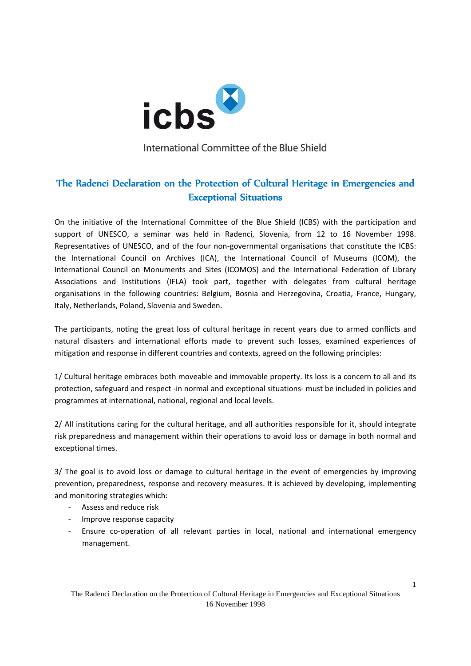

International Committee of the Blue Shield

## The Radenci Declaration on the Protection of Cultural Heritage in Emergencies and Exceptional Situations

On the initiative of the International Committee of the Blue Shield (ICBS) with the participation and support of UNESCO, a seminar was held in Radenci, Slovenia, from 12 to 16 November 1998. Representatives of UNESCO, and of the four non-governmental organisations that constitute the ICBS: the International Council on Archives (ICA), the International Council of Museums (ICOM), the International Council on Monuments and Sites (ICOMOS) and the International Federation of Library Associations and Institutions (IFLA) took part, together with delegates from cultural heritage organisations in the following countries: Belgium, Bosnia and Herzegovina, Croatia, France, Hungary, Italy, Netherlands, Poland, Slovenia and Sweden.

The participants, noting the great loss of cultural heritage in recent years due to armed conflicts and natural disasters and international efforts made to prevent such losses, examined experiences of mitigation and response in different countries and contexts, agreed on the following principles:

1/ Cultural heritage embraces both moveable and immovable property. Its loss is a concern to all and its protection, safeguard and respect ‐in normal and exceptional situations‐ must be included in policies and programmes at international, national, regional and local levels.

2/ All institutions caring for the cultural heritage, and all authorities responsible for it, should integrate risk preparedness and management within their operations to avoid loss or damage in both normal and exceptional times.

3/ The goal is to avoid loss or damage to cultural heritage in the event of emergencies by improving prevention, preparedness, response and recovery measures. It is achieved by developing, implementing and monitoring strategies which:

- ‐ Assess and reduce risk
- ‐ Improve response capacity
- ‐ Ensure co‐operation of all relevant parties in local, national and international emergency management.